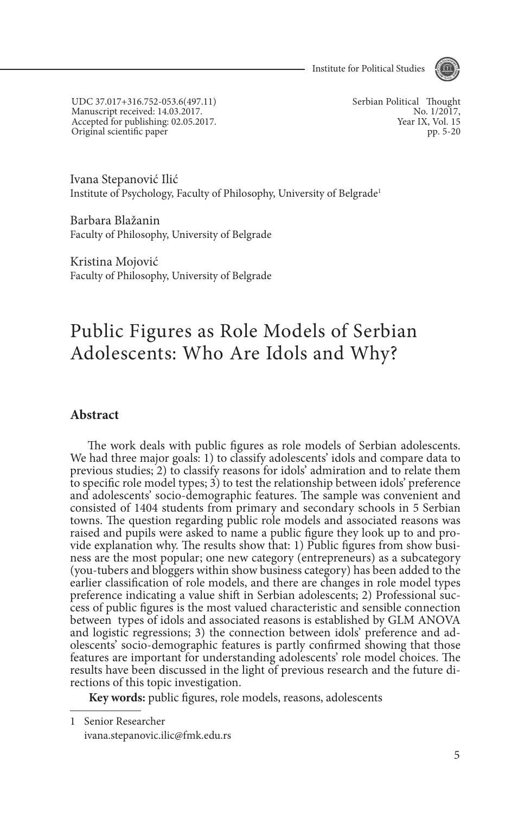Institute for Political Studies



UDC 37.017+316.752-053.6(497.11) Manuscript received: 14.03.2017. Accepted for publishing: 02.05.2017. Original scientific paper

Serbian Political Thought No. 1/2017, Year IX, Vol. 15 pp. 5-20

Ivana Stepanović Ilić Institute of Psychology, Faculty of Philosophy, University of Belgrade1

Barbara Blažanin Faculty of Philosophy, University of Belgrade

Kristina Mojović Faculty of Philosophy, University of Belgrade

# Public Figures as Role Models of Serbian Adolescents: Who Are Idols and Why?

#### **Abstract**

The work deals with public figures as role models of Serbian adolescents. We had three major goals: 1) to classify adolescents' idols and compare data to previous studies; 2) to classify reasons for idols' admiration and to relate them to specific role model types; 3) to test the relationship between idols' preference and adolescents' socio-demographic features. The sample was convenient and consisted of 1404 students from primary and secondary schools in 5 Serbian towns. The question regarding public role models and associated reasons was raised and pupils were asked to name a public figure they look up to and provide explanation why. The results show that: 1) Public figures from show business are the most popular; one new category (entrepreneurs) as a subcategory (you-tubers and bloggers within show business category) has been added to the earlier classification of role models, and there are changes in role model types preference indicating a value shift in Serbian adolescents; 2) Professional success of public figures is the most valued characteristic and sensible connection between types of idols and associated reasons is established by GLM ANOVA and logistic regressions; 3) the connection between idols' preference and ad- olescents' socio-demographic features is partly confirmed showing that those features are important for understanding adolescents' role model choices. The results have been discussed in the light of previous research and the future di- rections of this topic investigation.

**Key words:** public figures, role models, reasons, adolescents

<sup>1</sup> Senior Researcher ivana.stepanovic.ilic@fmk.edu.rs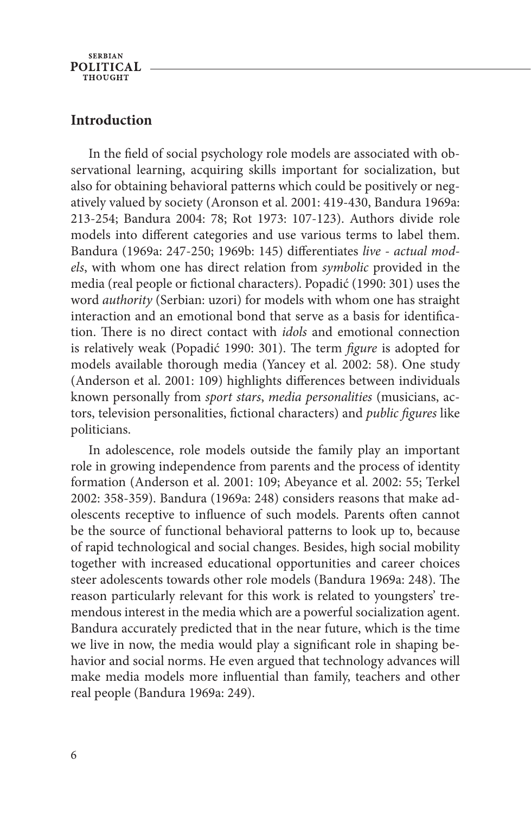**SERBIAN POLITICAL THOUCHT** 

### **Introduction**

In the field of social psychology role models are associated with observational learning, acquiring skills important for socialization, but also for obtaining behavioral patterns which could be positively or negatively valued by society (Aronson et al. 2001: 419-430, Bandura 1969a: 213-254; Bandura 2004: 78; Rot 1973: 107-123). Authors divide role models into different categories and use various terms to label them. Bandura (1969a: 247-250; 1969b: 145) differentiates *live - actual models*, with whom one has direct relation from *symbolic* provided in the media (real people or fictional characters). Popadić (1990: 301) uses the word *authority* (Serbian: uzori) for models with whom one has straight interaction and an emotional bond that serve as a basis for identification. There is no direct contact with *idols* and emotional connection is relatively weak (Popadić 1990: 301). The term *figure* is adopted for models available thorough media (Yancey et al. 2002: 58). One study (Anderson et al. 2001: 109) highlights differences between individuals known personally from *sport stars*, *media personalities* (musicians, actors, television personalities, fictional characters) and *public figures* like politicians.

In adolescence, role models outside the family play an important role in growing independence from parents and the process of identity formation (Anderson et al. 2001: 109; Abeyance et al. 2002: 55; Terkel 2002: 358-359). Bandura (1969a: 248) considers reasons that make adolescents receptive to influence of such models. Parents often cannot be the source of functional behavioral patterns to look up to, because of rapid technological and social changes. Besides, high social mobility together with increased educational opportunities and career choices steer adolescents towards other role models (Bandura 1969a: 248). The reason particularly relevant for this work is related to youngsters' tremendous interest in the media which are a powerful socialization agent. Bandura accurately predicted that in the near future, which is the time we live in now, the media would play a significant role in shaping behavior and social norms. He even argued that technology advances will make media models more influential than family, teachers and other real people (Bandura 1969a: 249).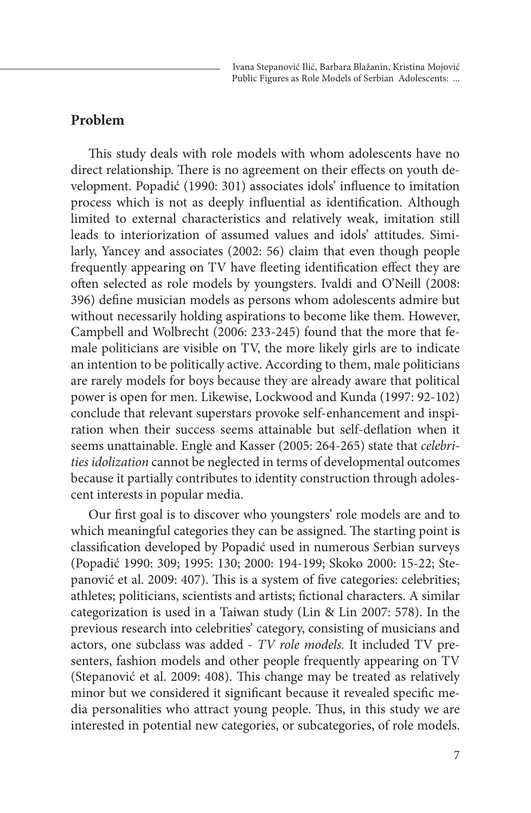#### **Problem**

This study deals with role models with whom adolescents have no direct relationship. There is no agreement on their effects on youth development. Popadić (1990: 301) associates idols' influence to imitation process which is not as deeply influential as identification. Although limited to external characteristics and relatively weak, imitation still leads to interiorization of assumed values and idols' attitudes. Similarly, Yancey and associates (2002: 56) claim that even though people frequently appearing on TV have fleeting identification effect they are often selected as role models by youngsters. Ivaldi and O'Neill (2008: 396) define musician models as persons whom adolescents admire but without necessarily holding aspirations to become like them. However, Campbell and Wolbrecht (2006: 233-245) found that the more that female politicians are visible on TV, the more likely girls are to indicate an intention to be politically active. According to them, male politicians are rarely models for boys because they are already aware that political power is open for men. Likewise, Lockwood and Kunda (1997: 92-102) conclude that relevant superstars provoke self-enhancement and inspiration when their success seems attainable but self-deflation when it seems unattainable. Engle and Kasser (2005: 264-265) state that *celebrities idolization* cannot be neglected in terms of developmental outcomes because it partially contributes to identity construction through adolescent interests in popular media.

Our first goal is to discover who youngsters' role models are and to which meaningful categories they can be assigned. The starting point is classification developed by Popadić used in numerous Serbian surveys (Popadić 1990: 309; 1995: 130; 2000: 194-199; Skoko 2000: 15-22; Stepanović et al. 2009: 407). This is a system of five categories: celebrities; athletes; politicians, scientists and artists; fictional characters. A similar categorization is used in a Taiwan study (Lin & Lin 2007: 578). In the previous research into celebrities' category, consisting of musicians and actors, one subclass was added - *TV role models.* It included TV presenters, fashion models and other people frequently appearing on TV (Stepanović et al. 2009: 408). This change may be treated as relatively minor but we considered it significant because it revealed specific media personalities who attract young people. Thus, in this study we are interested in potential new categories, or subcategories, of role models.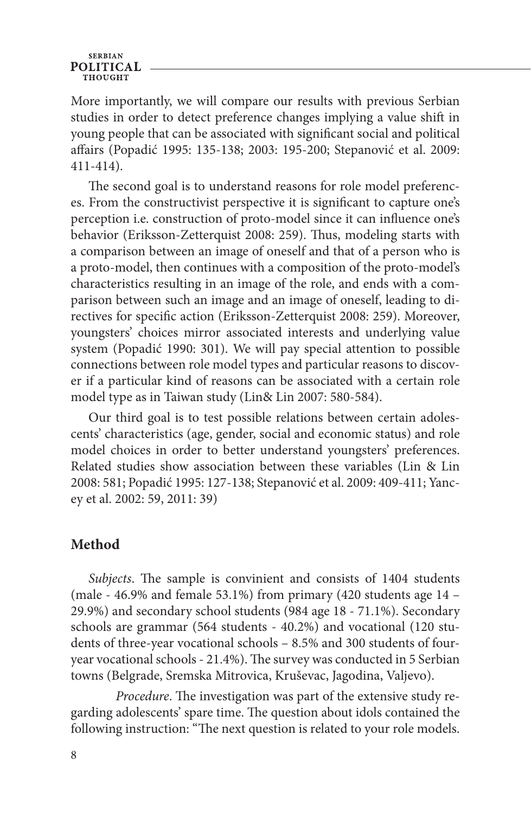## **SERBIAN POLITICAL**

More importantly, we will compare our results with previous Serbian studies in order to detect preference changes implying a value shift in young people that can be associated with significant social and political affairs (Popadić 1995: 135-138; 2003: 195-200; Stepanović et al. 2009: 411-414).

The second goal is to understand reasons for role model preferences. From the constructivist perspective it is significant to capture one's perception i.e. construction of proto-model since it can influence one's behavior (Eriksson-Zetterquist 2008: 259). Thus, modeling starts with a comparison between an image of oneself and that of a person who is a proto-model, then continues with a composition of the proto-model's characteristics resulting in an image of the role, and ends with a comparison between such an image and an image of oneself, leading to directives for specific action (Eriksson-Zetterquist 2008: 259). Moreover, youngsters' choices mirror associated interests and underlying value system (Popadić 1990: 301). We will pay special attention to possible connections between role model types and particular reasons to discover if a particular kind of reasons can be associated with a certain role model type as in Taiwan study (Lin& Lin 2007: 580-584).

Our third goal is to test possible relations between certain adolescents' characteristics (age, gender, social and economic status) and role model choices in order to better understand youngsters' preferences. Related studies show association between these variables (Lin & Lin 2008: 581; Popadić 1995: 127-138; Stepanović et al. 2009: 409-411; Yancey et al. 2002: 59, 2011: 39)

# **Method**

*Subjects*. The sample is convinient and consists of 1404 students (male - 46.9% and female 53.1%) from primary (420 students age 14 – 29.9%) and secondary school students (984 age 18 - 71.1%). Secondary schools are grammar (564 students - 40.2%) and vocational (120 students of three-year vocational schools – 8.5% and 300 students of fouryear vocational schools - 21.4%). The survey was conducted in 5 Serbian towns (Belgrade, Sremska Mitrovica, Kruševac, Jagodina, Valjevo).

*Procedure*. The investigation was part of the extensive study regarding adolescents' spare time. The question about idols contained the following instruction: "The next question is related to your role models.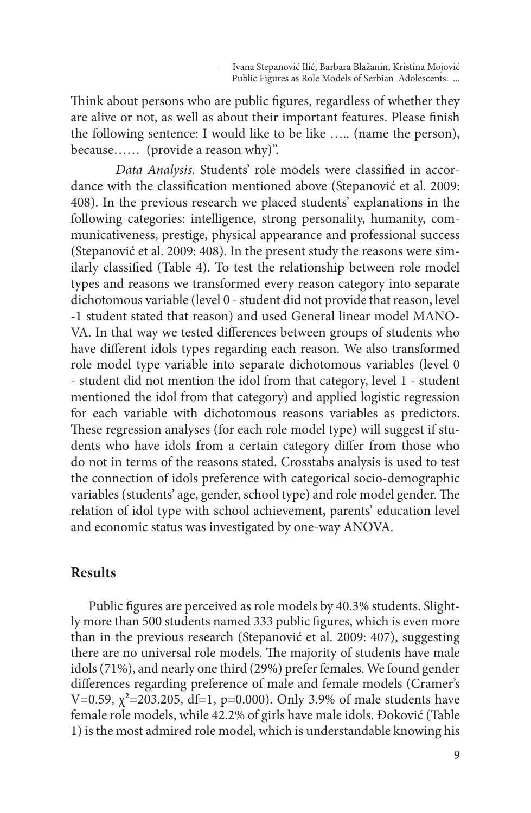Think about persons who are public figures, regardless of whether they are alive or not, as well as about their important features. Please finish the following sentence: I would like to be like ….. (name the person), because…… (provide a reason why)".

*Data Analysis.* Students' role models were classified in accordance with the classification mentioned above (Stepanović et al. 2009: 408). In the previous research we placed students' explanations in the following categories: intelligence, strong personality, humanity, communicativeness, prestige, physical appearance and professional success (Stepanović et al. 2009: 408). In the present study the reasons were similarly classified (Table 4). To test the relationship between role model types and reasons we transformed every reason category into separate dichotomous variable (level 0 - student did not provide that reason, level -1 student stated that reason) and used General linear model MANO-VA. In that way we tested differences between groups of students who have different idols types regarding each reason. We also transformed role model type variable into separate dichotomous variables (level 0 - student did not mention the idol from that category, level 1 - student mentioned the idol from that category) and applied logistic regression for each variable with dichotomous reasons variables as predictors. These regression analyses (for each role model type) will suggest if students who have idols from a certain category differ from those who do not in terms of the reasons stated. Crosstabs analysis is used to test the connection of idols preference with categorical socio-demographic variables (students' age, gender, school type) and role model gender. The relation of idol type with school achievement, parents' education level and economic status was investigated by one-way ANOVA.

### **Results**

Public figures are perceived as role models by 40.3% students. Slightly more than 500 students named 333 public figures, which is even more than in the previous research (Stepanović et al. 2009: 407), suggesting there are no universal role models. The majority of students have male idols (71%), and nearly one third (29%) prefer females. We found gender differences regarding preference of male and female models (Cramer's V=0.59,  $\chi^2$ =203.205, df=1, p=0.000). Only 3.9% of male students have female role models, while 42.2% of girls have male idols. Đoković (Table 1) is the most admired role model, which is understandable knowing his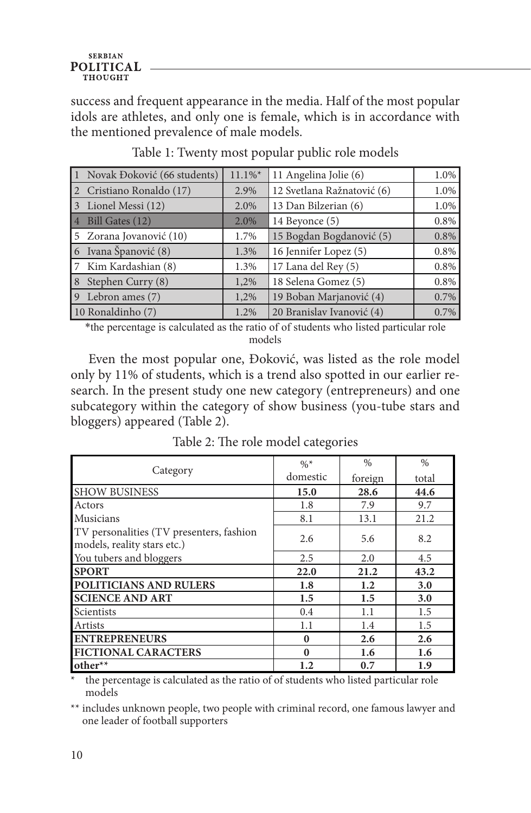success and frequent appearance in the media. Half of the most popular idols are athletes, and only one is female, which is in accordance with the mentioned prevalence of male models.

| Novak Đoković (66 students)         | $11.1\%$ * | 11 Angelina Jolie (6)      | 1.0% |
|-------------------------------------|------------|----------------------------|------|
| Cristiano Ronaldo (17)              | 2.9%       | 12 Svetlana Ražnatović (6) | 1.0% |
| Lionel Messi (12)<br>$\overline{3}$ | 2.0%       | 13 Dan Bilzerian (6)       | 1.0% |
| 4 Bill Gates (12)                   | 2.0%       | 14 Beyonce (5)             | 0.8% |
| 5 Zorana Jovanović (10)             | 1.7%       | 15 Bogdan Bogdanović (5)   | 0.8% |
| 6 Ivana Španović (8)                | 1.3%       | 16 Jennifer Lopez (5)      | 0.8% |
| 7 Kim Kardashian (8)                | 1.3%       | 17 Lana del Rey (5)        | 0.8% |
| Stephen Curry (8)<br>8              | 1,2%       | 18 Selena Gomez (5)        | 0.8% |
| Lebron ames (7)<br>l 9              | 1,2%       | 19 Boban Marjanović (4)    | 0.7% |
| 10 Ronaldinho (7)                   | 1.2%       | 20 Branislav Ivanović (4)  | 0.7% |

Table 1: Twenty most popular public role models

\*the percentage is calculated as the ratio of of students who listed particular role models

Even the most popular one, Đoković, was listed as the role model only by 11% of students, which is a trend also spotted in our earlier research. In the present study one new category (entrepreneurs) and one subcategory within the category of show business (you-tube stars and bloggers) appeared (Table 2).

| Category                                                                | $\%^*$<br>domestic | $\%$<br>foreign | $\frac{0}{0}$<br>total |
|-------------------------------------------------------------------------|--------------------|-----------------|------------------------|
| <b>SHOW BUSINESS</b>                                                    | 15.0               | 28.6            | 44.6                   |
| Actors                                                                  | 1.8                | 7.9             | 9.7                    |
| <b>Musicians</b>                                                        | 8.1                | 13.1            | 21.2                   |
| TV personalities (TV presenters, fashion<br>models, reality stars etc.) | 2.6                | 5.6             | 8.2                    |
| You tubers and bloggers                                                 | 2.5                | 2.0             | 4.5                    |
| <b>SPORT</b>                                                            | 22.0               | 21.2            | 43.2                   |
| POLITICIANS AND RULERS                                                  | 1.8                | 1.2             | 3.0                    |
| <b>SCIENCE AND ART</b>                                                  | 1.5                | 1.5             | 3.0                    |
| Scientists                                                              | 0.4                | 1.1             | 1.5                    |
| Artists                                                                 | 1.1                | 1.4             | 1.5                    |
| <b>ENTREPRENEURS</b>                                                    | $\mathbf{0}$       | 2.6             | 2.6                    |
| <b>FICTIONAL CARACTERS</b>                                              | $\bf{0}$           | 1.6             | 1.6                    |
| other**                                                                 | 1.2                | 0.7             | 1.9                    |

Table 2: The role model categories

the percentage is calculated as the ratio of of students who listed particular role models

\*\* includes unknown people, two people with criminal record, one famous lawyer and one leader of football supporters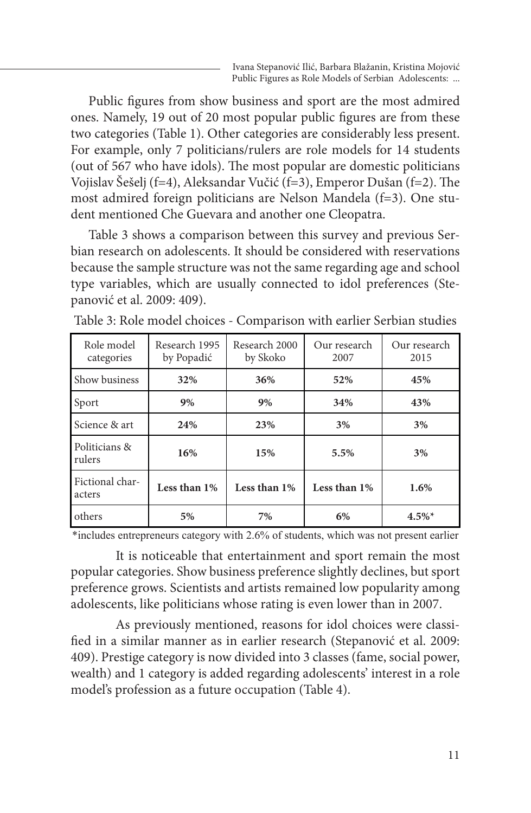Public figures from show business and sport are the most admired ones. Namely, 19 out of 20 most popular public figures are from these two categories (Table 1). Other categories are considerably less present. For example, only 7 politicians/rulers are role models for 14 students (out of 567 who have idols). The most popular are domestic politicians Vojislav Šešelj (f=4), Aleksandar Vučić (f=3), Emperor Dušan (f=2). The most admired foreign politicians are Nelson Mandela (f=3). One student mentioned Che Guevara and another one Cleopatra.

Table 3 shows a comparison between this survey and previous Serbian research on adolescents. It should be considered with reservations because the sample structure was not the same regarding age and school type variables, which are usually connected to idol preferences (Stepanović et al. 2009: 409).

| Role model<br>categories  | Research 1995<br>by Popadić | Research 2000<br>by Skoko | Our research<br>2007 | Our research<br>2015 |
|---------------------------|-----------------------------|---------------------------|----------------------|----------------------|
| Show business             | 32%                         | 36%                       | 52%                  | 45%                  |
| Sport                     | 9%                          | 9%                        | 34%                  | 43%                  |
| Science & art             | 24%                         | 23%                       | 3%                   | 3%                   |
| Politicians &<br>rulers   | 16%                         | 15%                       | 5.5%                 | 3%                   |
| Fictional char-<br>acters | Less than 1%                | Less than 1%              | Less than 1%         | 1.6%                 |
| others                    | 5%                          | 7%                        | 6%                   | $4.5\%$ <sup>*</sup> |

Table 3: Role model choices - Comparison with earlier Serbian studies

\*includes entrepreneurs category with 2.6% of students, which was not present earlier

It is noticeable that entertainment and sport remain the most popular categories. Show business preference slightly declines, but sport preference grows. Scientists and artists remained low popularity among adolescents, like politicians whose rating is even lower than in 2007.

As previously mentioned, reasons for idol choices were classified in a similar manner as in earlier research (Stepanović et al. 2009: 409). Prestige category is now divided into 3 classes (fame, social power, wealth) and 1 category is added regarding adolescents' interest in a role model's profession as a future occupation (Table 4).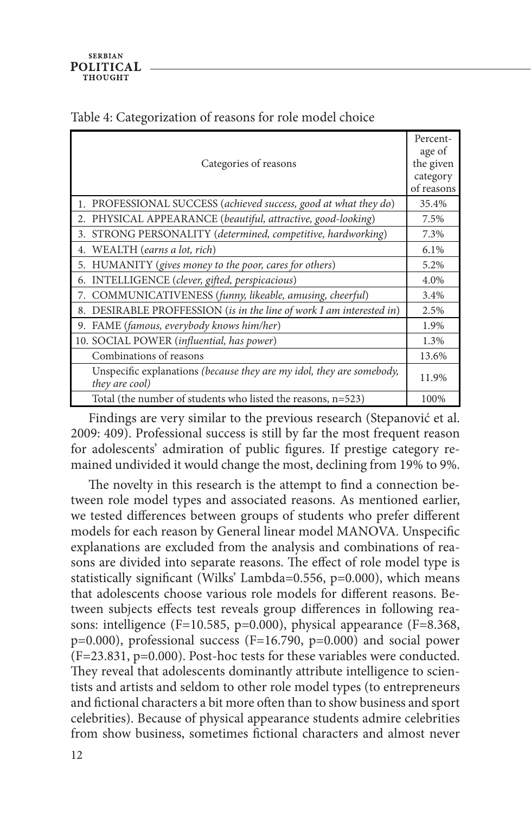| Categories of reasons                                                                   | Percent-<br>age of<br>the given<br>category<br>of reasons |
|-----------------------------------------------------------------------------------------|-----------------------------------------------------------|
| 1. PROFESSIONAL SUCCESS (achieved success, good at what they do)                        | 35.4%                                                     |
| 2. PHYSICAL APPEARANCE (beautiful, attractive, good-looking)                            | 7.5%                                                      |
| STRONG PERSONALITY (determined, competitive, hardworking)<br>3.                         | 7.3%                                                      |
| WEALTH (earns a lot, rich)<br>4.                                                        | 6.1%                                                      |
| 5. HUMANITY (gives money to the poor, cares for others)                                 | 5.2%                                                      |
| INTELLIGENCE (clever, gifted, perspicacious)<br>6.                                      | 4.0%                                                      |
| COMMUNICATIVENESS (funny, likeable, amusing, cheerful)<br>7.                            | 3.4%                                                      |
| DESIRABLE PROFFESSION (is in the line of work I am interested in)<br>8.                 | 2.5%                                                      |
| FAME (famous, everybody knows him/her)<br>9.                                            | 1.9%                                                      |
| 10. SOCIAL POWER (influential, has power)                                               | 1.3%                                                      |
| Combinations of reasons                                                                 | 13.6%                                                     |
| Unspecific explanations (because they are my idol, they are somebody,<br>they are cool) | 11.9%                                                     |
| Total (the number of students who listed the reasons, $n=523$ )                         | 100%                                                      |

### Table 4: Categorization of reasons for role model choice

Findings are very similar to the previous research (Stepanović et al. 2009: 409). Professional success is still by far the most frequent reason for adolescents' admiration of public figures. If prestige category remained undivided it would change the most, declining from 19% to 9%.

The novelty in this research is the attempt to find a connection between role model types and associated reasons. As mentioned earlier, we tested differences between groups of students who prefer different models for each reason by General linear model MANOVA. Unspecific explanations are excluded from the analysis and combinations of reasons are divided into separate reasons. The effect of role model type is statistically significant (Wilks' Lambda=0.556, p=0.000), which means that adolescents choose various role models for different reasons. Between subjects effects test reveals group differences in following reasons: intelligence (F=10.585, p=0.000), physical appearance (F=8.368, p=0.000), professional success (F=16.790, p=0.000) and social power (F=23.831, p=0.000). Post-hoc tests for these variables were conducted. They reveal that adolescents dominantly attribute intelligence to scientists and artists and seldom to other role model types (to entrepreneurs and fictional characters a bit more often than to show business and sport celebrities). Because of physical appearance students admire celebrities from show business, sometimes fictional characters and almost never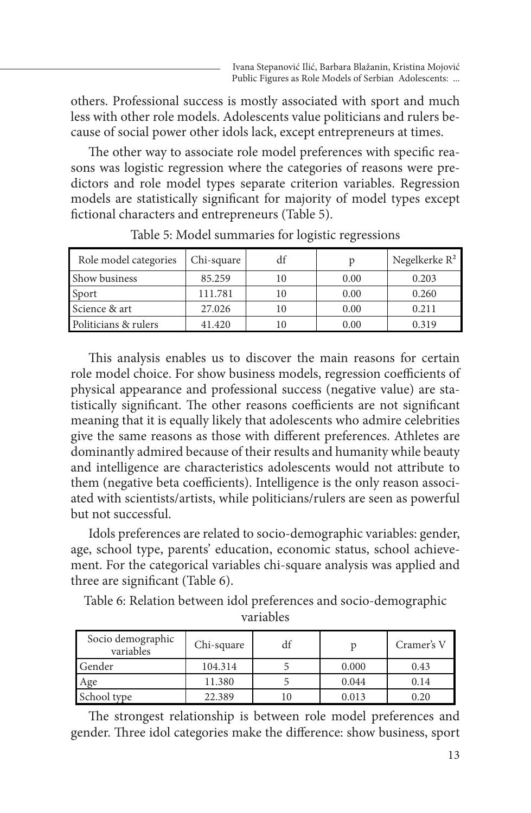others. Professional success is mostly associated with sport and much less with other role models. Adolescents value politicians and rulers because of social power other idols lack, except entrepreneurs at times.

The other way to associate role model preferences with specific reasons was logistic regression where the categories of reasons were predictors and role model types separate criterion variables. Regression models are statistically significant for majority of model types except fictional characters and entrepreneurs (Table 5).

| Role model categories | Chi-square | df |      | Negelkerke $R^2$ |
|-----------------------|------------|----|------|------------------|
| Show business         | 85.259     |    | 0.00 | 0.203            |
| Sport                 | 111.781    | 10 | 0.00 | 0.260            |
| Science & art         | 27.026     |    | 0.00 | 0.211            |
| Politicians & rulers  | 41.420     |    | 0.00 | 0.319            |

Table 5: Model summaries for logistic regressions

This analysis enables us to discover the main reasons for certain role model choice. For show business models, regression coefficients of physical appearance and professional success (negative value) are statistically significant. The other reasons coefficients are not significant meaning that it is equally likely that adolescents who admire celebrities give the same reasons as those with different preferences. Athletes are dominantly admired because of their results and humanity while beauty and intelligence are characteristics adolescents would not attribute to them (negative beta coefficients). Intelligence is the only reason associated with scientists/artists, while politicians/rulers are seen as powerful but not successful.

Idols preferences are related to socio-demographic variables: gender, age, school type, parents' education, economic status, school achievement. For the categorical variables chi-square analysis was applied and three are significant (Table 6).

Table 6: Relation between idol preferences and socio-demographic variables

| Socio demographic<br>variables | Chi-square | df |       | Cramer's V |
|--------------------------------|------------|----|-------|------------|
| Gender                         | 104.314    |    | 0.000 | 0.43       |
| Age                            | 11.380     |    | 0.044 | 0.14       |
| School type                    | 22.389     |    | 0.013 | 0.20       |

The strongest relationship is between role model preferences and gender. Three idol categories make the difference: show business, sport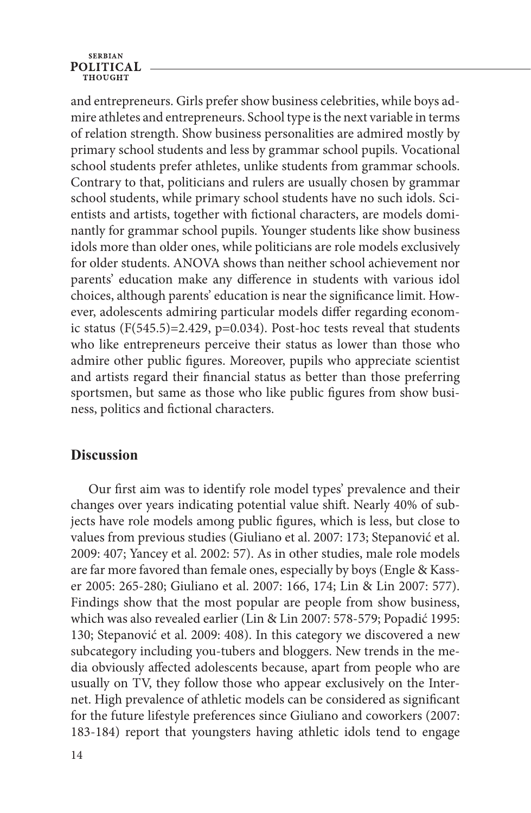# **SERBIAN POLITICAL**

and entrepreneurs. Girls prefer show business celebrities, while boys admire athletes and entrepreneurs. School type is the next variable in terms of relation strength. Show business personalities are admired mostly by primary school students and less by grammar school pupils. Vocational school students prefer athletes, unlike students from grammar schools. Contrary to that, politicians and rulers are usually chosen by grammar school students, while primary school students have no such idols. Scientists and artists, together with fictional characters, are models dominantly for grammar school pupils. Younger students like show business idols more than older ones, while politicians are role models exclusively for older students. ANOVA shows than neither school achievement nor parents' education make any difference in students with various idol choices, although parents' education is near the significance limit. However, adolescents admiring particular models differ regarding economic status (F(545.5)=2.429, p=0.034). Post-hoc tests reveal that students who like entrepreneurs perceive their status as lower than those who admire other public figures. Moreover, pupils who appreciate scientist and artists regard their financial status as better than those preferring sportsmen, but same as those who like public figures from show business, politics and fictional characters.

# **Discussion**

Our first aim was to identify role model types' prevalence and their changes over years indicating potential value shift. Nearly 40% of subjects have role models among public figures, which is less, but close to values from previous studies (Giuliano et al. 2007: 173; Stepanović et al. 2009: 407; Yancey et al. 2002: 57). As in other studies, male role models are far more favored than female ones, especially by boys (Engle & Kasser 2005: 265-280; Giuliano et al. 2007: 166, 174; Lin & Lin 2007: 577). Findings show that the most popular are people from show business, which was also revealed earlier (Lin & Lin 2007: 578-579; Popadić 1995: 130; Stepanović et al. 2009: 408). In this category we discovered a new subcategory including you-tubers and bloggers. New trends in the media obviously affected adolescents because, apart from people who are usually on TV, they follow those who appear exclusively on the Internet. High prevalence of athletic models can be considered as significant for the future lifestyle preferences since Giuliano and coworkers (2007: 183-184) report that youngsters having athletic idols tend to engage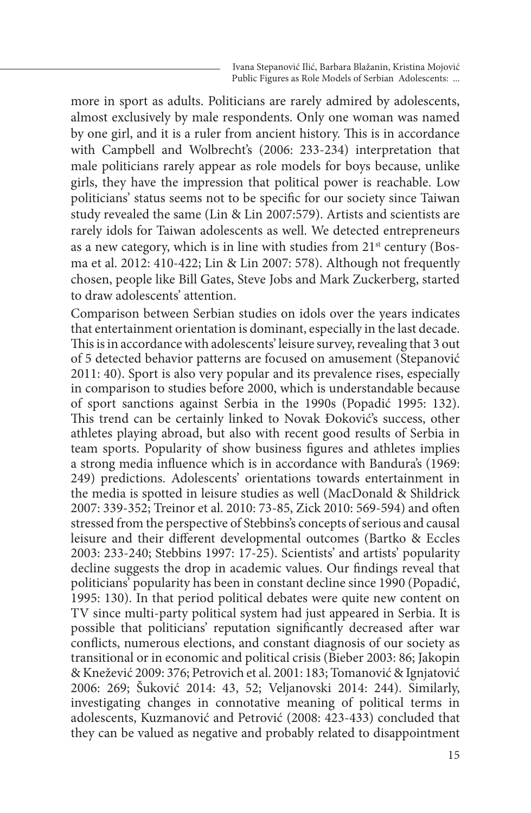more in sport as adults. Politicians are rarely admired by adolescents, almost exclusively by male respondents. Only one woman was named by one girl, and it is a ruler from ancient history. This is in accordance with Campbell and Wolbrecht's (2006: 233-234) interpretation that male politicians rarely appear as role models for boys because, unlike girls, they have the impression that political power is reachable. Low politicians' status seems not to be specific for our society since Taiwan study revealed the same (Lin & Lin 2007:579). Artists and scientists are rarely idols for Taiwan adolescents as well. We detected entrepreneurs as a new category, which is in line with studies from 21<sup>st</sup> century (Bosma et al. 2012: 410-422; Lin & Lin 2007: 578). Although not frequently chosen, people like Bill Gates, Steve Jobs and Mark Zuckerberg, started to draw adolescents' attention.

Comparison between Serbian studies on idols over the years indicates that entertainment orientation is dominant, especially in the last decade. This is in accordance with adolescents' leisure survey, revealing that 3 out of 5 detected behavior patterns are focused on amusement (Stepanović 2011: 40). Sport is also very popular and its prevalence rises, especially in comparison to studies before 2000, which is understandable because of sport sanctions against Serbia in the 1990s (Popadić 1995: 132). This trend can be certainly linked to Novak Đoković's success, other athletes playing abroad, but also with recent good results of Serbia in team sports. Popularity of show business figures and athletes implies a strong media influence which is in accordance with Bandura's (1969: 249) predictions. Adolescents' orientations towards entertainment in the media is spotted in leisure studies as well (MacDonald & Shildrick 2007: 339-352; Treinor et al. 2010: 73-85, Zick 2010: 569-594) and often stressed from the perspective of Stebbins's concepts of serious and causal leisure and their different developmental outcomes (Bartko & Eccles 2003: 233-240; Stebbins 1997: 17-25). Scientists' and artists' popularity decline suggests the drop in academic values. Our findings reveal that politicians' popularity has been in constant decline since 1990 (Popadić, 1995: 130). In that period political debates were quite new content on TV since multi-party political system had just appeared in Serbia. It is possible that politicians' reputation significantly decreased after war conflicts, numerous elections, and constant diagnosis of our society as transitional or in economic and political crisis (Bieber 2003: 86; Jakopin & Knežević 2009: 376; Petrovich et al. 2001: 183; Tomanović & Ignjatović 2006: 269; Šuković 2014: 43, 52; Veljanovski 2014: 244). Similarly, investigating changes in connotative meaning of political terms in adolescents, Kuzmanović and Petrović (2008: 423-433) concluded that they can be valued as negative and probably related to disappointment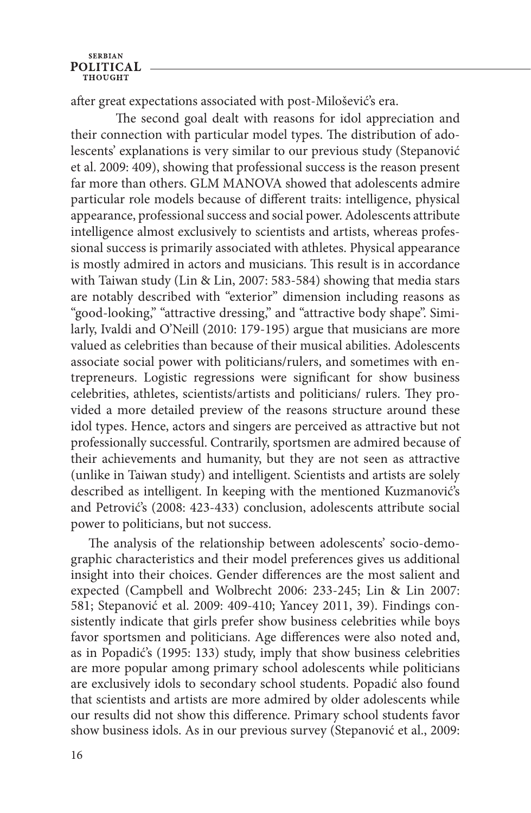# **SERBIAN POLITICAL**

after great expectations associated with post-Milošević's era.

The second goal dealt with reasons for idol appreciation and their connection with particular model types. The distribution of adolescents' explanations is very similar to our previous study (Stepanović et al. 2009: 409), showing that professional success is the reason present far more than others. GLM MANOVA showed that adolescents admire particular role models because of different traits: intelligence, physical appearance, professional success and social power. Adolescents attribute intelligence almost exclusively to scientists and artists, whereas professional success is primarily associated with athletes. Physical appearance is mostly admired in actors and musicians. This result is in accordance with Taiwan study (Lin & Lin, 2007: 583-584) showing that media stars are notably described with "exterior" dimension including reasons as "good-looking," "attractive dressing," and "attractive body shape". Similarly, Ivaldi and O'Neill (2010: 179-195) argue that musicians are more valued as celebrities than because of their musical abilities. Adolescents associate social power with politicians/rulers, and sometimes with entrepreneurs. Logistic regressions were significant for show business celebrities, athletes, scientists/artists and politicians/ rulers. They provided a more detailed preview of the reasons structure around these idol types. Hence, actors and singers are perceived as attractive but not professionally successful. Contrarily, sportsmen are admired because of their achievements and humanity, but they are not seen as attractive (unlike in Taiwan study) and intelligent. Scientists and artists are solely described as intelligent. In keeping with the mentioned Kuzmanović's and Petrović's (2008: 423-433) conclusion, adolescents attribute social power to politicians, but not success.

The analysis of the relationship between adolescents' socio-demographic characteristics and their model preferences gives us additional insight into their choices. Gender differences are the most salient and expected (Campbell and Wolbrecht 2006: 233-245; Lin & Lin 2007: 581; Stepanović et al. 2009: 409-410; Yancey 2011, 39). Findings consistently indicate that girls prefer show business celebrities while boys favor sportsmen and politicians. Age differences were also noted and, as in Popadić's (1995: 133) study, imply that show business celebrities are more popular among primary school adolescents while politicians are exclusively idols to secondary school students. Popadić also found that scientists and artists are more admired by older adolescents while our results did not show this difference. Primary school students favor show business idols. As in our previous survey (Stepanović et al., 2009: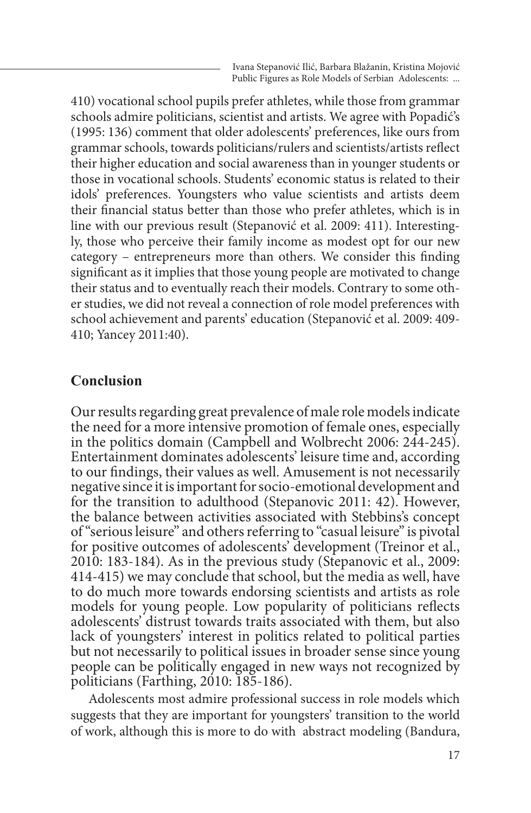410) vocational school pupils prefer athletes, while those from grammar schools admire politicians, scientist and artists. We agree with Popadić's (1995: 136) comment that older adolescents' preferences, like ours from grammar schools, towards politicians/rulers and scientists/artists reflect their higher education and social awareness than in younger students or those in vocational schools. Students' economic status is related to their idols' preferences. Youngsters who value scientists and artists deem their financial status better than those who prefer athletes, which is in line with our previous result (Stepanović et al. 2009: 411). Interestingly, those who perceive their family income as modest opt for our new category – entrepreneurs more than others. We consider this finding significant as it implies that those young people are motivated to change their status and to eventually reach their models. Contrary to some other studies, we did not reveal a connection of role model preferences with school achievement and parents' education (Stepanović et al. 2009: 409- 410; Yancey 2011:40).

#### **Conclusion**

Our results regarding great prevalence of male role models indicate the need for a more intensive promotion of female ones, especially in the politics domain (Campbell and Wolbrecht 2006: 244-245). Entertainment dominates adolescents' leisure time and, according to our findings, their values as well. Amusement is not necessarily negative since it is important for socio-emotional development and for the transition to adulthood (Stepanovic 2011: 42). However, the balance between activities associated with Stebbins's concept of "serious leisure" and others referring to "casual leisure" is pivotal for positive outcomes of adolescents' development (Treinor et al., 2010: 183-184). As in the previous study (Stepanovic et al., 2009: 414-415) we may conclude that school, but the media as well, have to do much more towards endorsing scientists and artists as role models for young people. Low popularity of politicians reflects adolescents' distrust towards traits associated with them, but also lack of youngsters' interest in politics related to political parties but not necessarily to political issues in broader sense since young people can be politically engaged in new ways not recognized by politicians (Farthing, 2010: 185-186).

Adolescents most admire professional success in role models which suggests that they are important for youngsters' transition to the world of work, although this is more to do with abstract modeling (Bandura,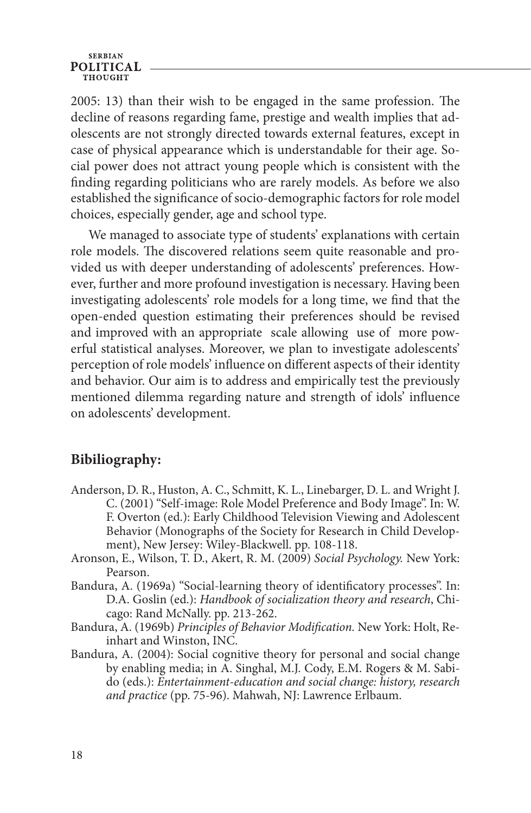#### **SERBIAN POLITICAL THOUGHT**

2005: 13) than their wish to be engaged in the same profession. The decline of reasons regarding fame, prestige and wealth implies that adolescents are not strongly directed towards external features, except in case of physical appearance which is understandable for their age. Social power does not attract young people which is consistent with the finding regarding politicians who are rarely models. As before we also established the significance of socio-demographic factors for role model choices, especially gender, age and school type.

We managed to associate type of students' explanations with certain role models. The discovered relations seem quite reasonable and provided us with deeper understanding of adolescents' preferences. However, further and more profound investigation is necessary. Having been investigating adolescents' role models for a long time, we find that the open-ended question estimating their preferences should be revised and improved with an appropriate scale allowing use of more powerful statistical analyses. Moreover, we plan to investigate adolescents' perception of role models' influence on different aspects of their identity and behavior. Our aim is to address and empirically test the previously mentioned dilemma regarding nature and strength of idols' influence on adolescents' development.

# **Bibiliography:**

- Anderson, D. R., Huston, A. C., Schmitt, K. L., Linebarger, D. L. and Wright J. C. (2001) "Self-image: Role Model Preference and Body Image". In: W. F. Overton (ed.): Early Childhood Television Viewing and Adolescent Behavior (Monographs of the Society for Research in Child Development), New Jersey: Wiley-Blackwell. pp. 108-118.
- Aronson, E., Wilson, T. D., Akert, R. M. (2009) *Social Psychology.* New York: Pearson.
- Bandura, A. (1969a) "Social-learning theory of identificatory processes". In: D.A. Goslin (ed.): *Handbook of socialization theory and research*, Chicago: Rand McNally. pp. 213-262.
- Bandura, A. (1969b) *Principles of Behavior Modification.* New York: Holt, Reinhart and Winston, INC.
- Bandura, A. (2004): Social cognitive theory for personal and social change by enabling media; in A. Singhal, M.J. Cody, E.M. Rogers & M. Sabido (eds.): *Entertainment-education and social change: history, research and practice* (pp. 75-96). Mahwah, NJ: Lawrence Erlbaum.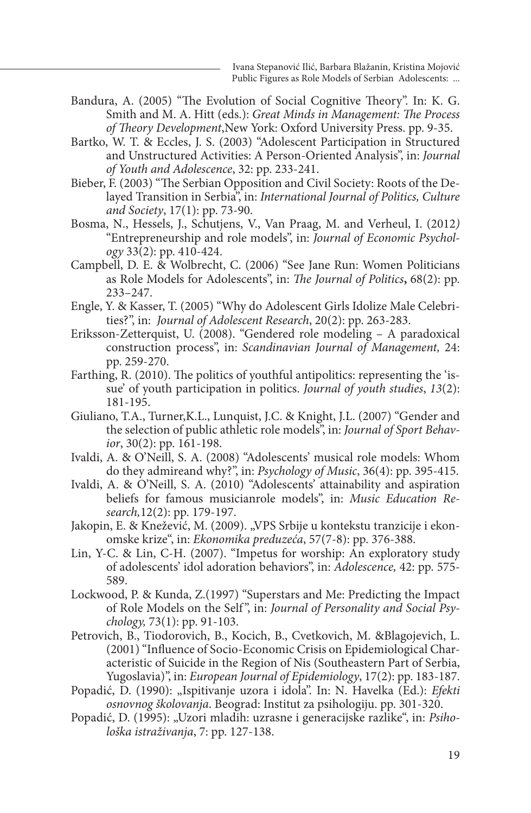- Bandura, A. (2005) "The Evolution of Social Cognitive Theory". In: K. G. Smith and M. A. Hitt (eds.): *Great Minds in Management: The Process of Theory Development*,New York: Oxford University Press. pp. 9-35.
- Bartko, W. T. & Eccles, J. S. (2003) "Adolescent Participation in Structured and Unstructured Activities: A Person-Oriented Analysis", in: *Journal of Youth and Adolescence*, 32: pp. 233-241.
- Bieber, F. (2003) "The Serbian Opposition and Civil Society: Roots of the Delayed Transition in Serbia", in: *International Journal of Politics, Culture and Society*, 17(1): pp. 73-90.
- Bosma, N., Hessels, J., Schutjens, V., Van Praag, M. and Verheul, I. (2012*)*  "Entrepreneurship and role models", in: *Journal of Economic Psychology* 33(2): pp. 410-424.
- Campbell, D. E. & Wolbrecht, C. (2006) "See Jane Run: Women Politicians as Role Models for Adolescents", in: *The Journal of Politics***,** 68(2): pp. 233–247.
- Engle, Y. & Kasser, T. (2005) "Why do Adolescent Girls Idolize Male Celebrities?", in: *Journal of Adolescent Research*, 20(2): pp. 263-283.
- Eriksson-Zetterquist, U. (2008). "Gendered role modeling A paradoxical construction process", in: *Scandinavian Journal of Management,* 24: pp. 259-270.
- Farthing, R. (2010). The politics of youthful antipolitics: representing the 'issue' of youth participation in politics. *Journal of youth studies*, *13*(2): 181-195.
- Giuliano, T.A., Turner,K.L., Lunquist, J.C. & Knight, J.L. (2007) "Gender and the selection of public athletic role models", in: *Journal of Sport Behavior*, 30(2): pp. 161-198.
- Ivaldi, A. & O'Neill, S. A. (2008) "Adolescents' musical role models: Whom do they admireand why?", in: *Psychology of Music*, 36(4): pp. 395-415.
- Ivaldi, A. & O'Neill, S. A. (2010) "Adolescents' attainability and aspiration beliefs for famous musicianrole models", in: *Music Education Research,*12(2): pp. 179-197.
- Jakopin, E. & Knežević, M. (2009). "VPS Srbije u kontekstu tranzicije i ekonomske krize", in: *Ekonomika preduzeća*, 57(7-8): pp. 376-388.
- Lin, Y-C. & Lin, C-H. (2007). "Impetus for worship: An exploratory study of adolescents' idol adoration behaviors", in: *Adolescence,* 42: pp. 575- 589.
- Lockwood, P. & Kunda, Z.(1997) "Superstars and Me: Predicting the Impact of Role Models on the Self ", in: *Journal of Personality and Social Psychology,* 73(1): pp. 91-103.
- Petrovich, B., Tiodorovich, B., Kocich, B., Cvetkovich, M. &Blagojevich, L. (2001) "Influence of Socio-Economic Crisis on Epidemiological Characteristic of Suicide in the Region of Nis (Southeastern Part of Serbia, Yugoslavia)", in: *European Journal of Epidemiology*, 17(2): pp. 183-187.
- Popadić, D. (1990): "Ispitivanje uzora i idola". In: N. Havelka (Ed.): *Efekti osnovnog školovanja*. Beograd: Institut za psihologiju. pp. 301-320.
- Popadić, D. (1995): "Uzori mladih: uzrasne i generacijske razlike", in: *Psihološka istraživanja*, 7: pp. 127-138.